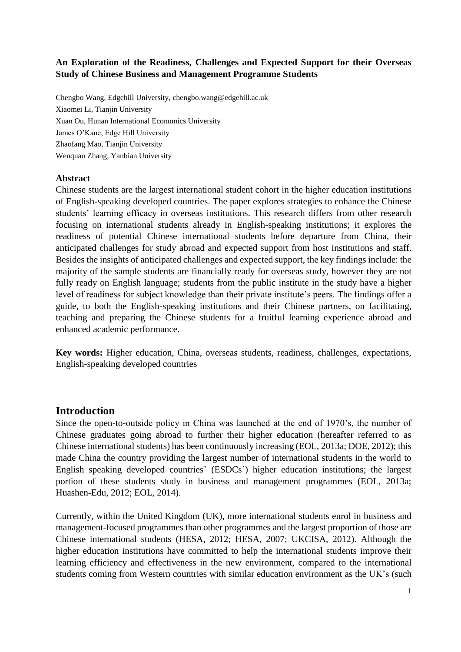### **An Exploration of the Readiness, Challenges and Expected Support for their Overseas Study of Chinese Business and Management Programme Students**

Chengbo Wang, Edgehill University, chengbo.wang@edgehill.ac.uk Xiaomei Li, Tianjin University Xuan Ou, Hunan International Economics University James O'Kane, Edge Hill University Zhaofang Mao, Tianjin University Wenquan Zhang, Yanbian University

#### **Abstract**

Chinese students are the largest international student cohort in the higher education institutions of English-speaking developed countries. The paper explores strategies to enhance the Chinese students' learning efficacy in overseas institutions. This research differs from other research focusing on international students already in English-speaking institutions; it explores the readiness of potential Chinese international students before departure from China, their anticipated challenges for study abroad and expected support from host institutions and staff. Besides the insights of anticipated challenges and expected support, the key findings include: the majority of the sample students are financially ready for overseas study, however they are not fully ready on English language; students from the public institute in the study have a higher level of readiness for subject knowledge than their private institute's peers. The findings offer a guide, to both the English-speaking institutions and their Chinese partners, on facilitating, teaching and preparing the Chinese students for a fruitful learning experience abroad and enhanced academic performance.

**Key words:** Higher education, China, overseas students, readiness, challenges, expectations, English-speaking developed countries

### **Introduction**

Since the open-to-outside policy in China was launched at the end of 1970's, the number of Chinese graduates going abroad to further their higher education (hereafter referred to as Chinese international students) has been continuously increasing (EOL, 2013a; DOE, 2012); this made China the country providing the largest number of international students in the world to English speaking developed countries' (ESDCs') higher education institutions; the largest portion of these students study in business and management programmes (EOL, 2013a; Huashen-Edu, 2012; EOL, 2014).

Currently, within the United Kingdom (UK), more international students enrol in business and management-focused programmes than other programmes and the largest proportion of those are Chinese international students (HESA, 2012; HESA, 2007; UKCISA, 2012). Although the higher education institutions have committed to help the international students improve their learning efficiency and effectiveness in the new environment, compared to the international students coming from Western countries with similar education environment as the UK's (such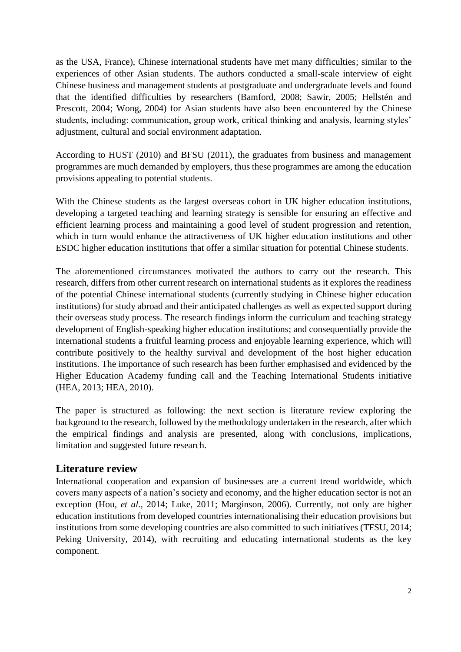as the USA, France), Chinese international students have met many difficulties; similar to the experiences of other Asian students. The authors conducted a small-scale interview of eight Chinese business and management students at postgraduate and undergraduate levels and found that the identified difficulties by researchers (Bamford, 2008; Sawir, 2005; Hellstén and Prescott, 2004; Wong, 2004) for Asian students have also been encountered by the Chinese students, including: communication, group work, critical thinking and analysis, learning styles' adjustment, cultural and social environment adaptation.

According to HUST (2010) and BFSU (2011), the graduates from business and management programmes are much demanded by employers, thus these programmes are among the education provisions appealing to potential students.

With the Chinese students as the largest overseas cohort in UK higher education institutions, developing a targeted teaching and learning strategy is sensible for ensuring an effective and efficient learning process and maintaining a good level of student progression and retention, which in turn would enhance the attractiveness of UK higher education institutions and other ESDC higher education institutions that offer a similar situation for potential Chinese students.

The aforementioned circumstances motivated the authors to carry out the research. This research, differs from other current research on international students as it explores the readiness of the potential Chinese international students (currently studying in Chinese higher education institutions) for study abroad and their anticipated challenges as well as expected support during their overseas study process. The research findings inform the curriculum and teaching strategy development of English-speaking higher education institutions; and consequentially provide the international students a fruitful learning process and enjoyable learning experience, which will contribute positively to the healthy survival and development of the host higher education institutions. The importance of such research has been further emphasised and evidenced by the Higher Education Academy funding call and the Teaching International Students initiative (HEA, 2013; HEA, 2010).

The paper is structured as following: the next section is literature review exploring the background to the research, followed by the methodology undertaken in the research, after which the empirical findings and analysis are presented, along with conclusions, implications, limitation and suggested future research.

## **Literature review**

International cooperation and expansion of businesses are a current trend worldwide, which covers many aspects of a nation's society and economy, and the higher education sector is not an exception (Hou, *et al*., 2014; Luke, 2011; Marginson, 2006). Currently, not only are higher education institutions from developed countries internationalising their education provisions but institutions from some developing countries are also committed to such initiatives (TFSU, 2014; Peking University, 2014), with recruiting and educating international students as the key component.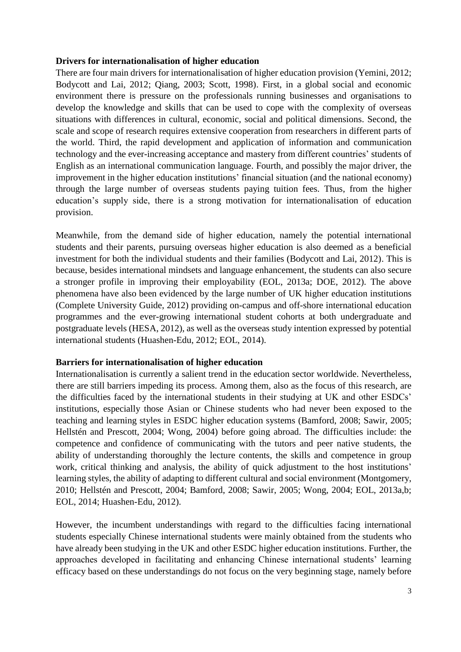#### **Drivers for internationalisation of higher education**

There are four main drivers for internationalisation of higher education provision (Yemini, 2012; Bodycott and Lai, 2012; Qiang, 2003; Scott, 1998). First, in a global social and economic environment there is pressure on the professionals running businesses and organisations to develop the knowledge and skills that can be used to cope with the complexity of overseas situations with differences in cultural, economic, social and political dimensions. Second, the scale and scope of research requires extensive cooperation from researchers in different parts of the world. Third, the rapid development and application of information and communication technology and the ever-increasing acceptance and mastery from different countries' students of English as an international communication language. Fourth, and possibly the major driver, the improvement in the higher education institutions' financial situation (and the national economy) through the large number of overseas students paying tuition fees. Thus, from the higher education's supply side, there is a strong motivation for internationalisation of education provision.

Meanwhile, from the demand side of higher education, namely the potential international students and their parents, pursuing overseas higher education is also deemed as a beneficial investment for both the individual students and their families (Bodycott and Lai, 2012). This is because, besides international mindsets and language enhancement, the students can also secure a stronger profile in improving their employability (EOL, 2013a; DOE, 2012). The above phenomena have also been evidenced by the large number of UK higher education institutions (Complete University Guide, 2012) providing on-campus and off-shore international education programmes and the ever-growing international student cohorts at both undergraduate and postgraduate levels (HESA, 2012), as well as the overseas study intention expressed by potential international students (Huashen-Edu, 2012; EOL, 2014).

#### **Barriers for internationalisation of higher education**

Internationalisation is currently a salient trend in the education sector worldwide. Nevertheless, there are still barriers impeding its process. Among them, also as the focus of this research, are the difficulties faced by the international students in their studying at UK and other ESDCs' institutions, especially those Asian or Chinese students who had never been exposed to the teaching and learning styles in ESDC higher education systems (Bamford, 2008; Sawir, 2005; Hellstén and Prescott, 2004; Wong, 2004) before going abroad. The difficulties include: the competence and confidence of communicating with the tutors and peer native students, the ability of understanding thoroughly the lecture contents, the skills and competence in group work, critical thinking and analysis, the ability of quick adjustment to the host institutions' learning styles, the ability of adapting to different cultural and social environment (Montgomery, 2010; Hellstén and Prescott, 2004; Bamford, 2008; Sawir, 2005; Wong, 2004; EOL, 2013a,b; EOL, 2014; Huashen-Edu, 2012).

However, the incumbent understandings with regard to the difficulties facing international students especially Chinese international students were mainly obtained from the students who have already been studying in the UK and other ESDC higher education institutions. Further, the approaches developed in facilitating and enhancing Chinese international students' learning efficacy based on these understandings do not focus on the very beginning stage, namely before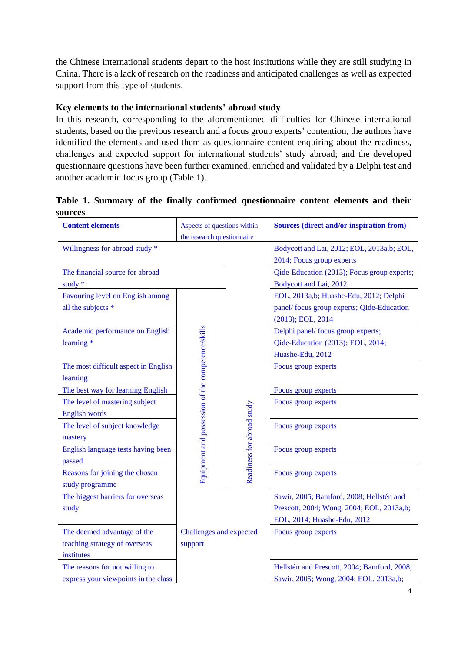the Chinese international students depart to the host institutions while they are still studying in China. There is a lack of research on the readiness and anticipated challenges as well as expected support from this type of students.

### **Key elements to the international students' abroad study**

In this research, corresponding to the aforementioned difficulties for Chinese international students, based on the previous research and a focus group experts' contention, the authors have identified the elements and used them as questionnaire content enquiring about the readiness, challenges and expected support for international students' study abroad; and the developed questionnaire questions have been further examined, enriched and validated by a Delphi test and another academic focus group (Table 1).

**Table 1. Summary of the finally confirmed questionnaire content elements and their sources**

| <b>Content elements</b>                          | Aspects of questions within                       |                            | <b>Sources (direct and/or inspiration from)</b> |  |  |
|--------------------------------------------------|---------------------------------------------------|----------------------------|-------------------------------------------------|--|--|
|                                                  | the research questionnaire                        |                            |                                                 |  |  |
|                                                  |                                                   |                            |                                                 |  |  |
| Willingness for abroad study *                   |                                                   |                            | Bodycott and Lai, 2012; EOL, 2013a,b; EOL,      |  |  |
|                                                  |                                                   |                            | 2014; Focus group experts                       |  |  |
| The financial source for abroad                  |                                                   |                            | Qide-Education (2013); Focus group experts;     |  |  |
| study *                                          |                                                   |                            | Bodycott and Lai, 2012                          |  |  |
| Favouring level on English among                 |                                                   |                            | EOL, 2013a,b; Huashe-Edu, 2012; Delphi          |  |  |
| all the subjects *                               |                                                   |                            | panel/ focus group experts; Qide-Education      |  |  |
|                                                  |                                                   |                            | (2013); EOL, 2014                               |  |  |
| Academic performance on English                  |                                                   |                            | Delphi panel/ focus group experts;              |  |  |
| learning *                                       |                                                   |                            | Qide-Education (2013); EOL, 2014;               |  |  |
|                                                  |                                                   |                            | Huashe-Edu, 2012                                |  |  |
| The most difficult aspect in English<br>learning | Equipment and possession of the competence/skills |                            | Focus group experts                             |  |  |
| The best way for learning English                |                                                   |                            | Focus group experts                             |  |  |
| The level of mastering subject                   |                                                   |                            | Focus group experts                             |  |  |
| <b>English words</b>                             |                                                   |                            |                                                 |  |  |
| The level of subject knowledge                   |                                                   | Readiness for abroad study | Focus group experts                             |  |  |
| mastery                                          |                                                   |                            |                                                 |  |  |
| English language tests having been               |                                                   |                            | Focus group experts                             |  |  |
| passed                                           |                                                   |                            |                                                 |  |  |
| Reasons for joining the chosen                   |                                                   |                            | Focus group experts                             |  |  |
| study programme                                  |                                                   |                            |                                                 |  |  |
| The biggest barriers for overseas                |                                                   |                            | Sawir, 2005; Bamford, 2008; Hellstén and        |  |  |
| study                                            |                                                   |                            | Prescott, 2004; Wong, 2004; EOL, 2013a,b;       |  |  |
|                                                  |                                                   |                            | EOL, 2014; Huashe-Edu, 2012                     |  |  |
| The deemed advantage of the                      | <b>Challenges and expected</b>                    |                            | Focus group experts                             |  |  |
| teaching strategy of overseas                    | support                                           |                            |                                                 |  |  |
| institutes                                       |                                                   |                            |                                                 |  |  |
| The reasons for not willing to                   |                                                   |                            | Hellstén and Prescott, 2004; Bamford, 2008;     |  |  |
| express your viewpoints in the class             |                                                   |                            | Sawir, 2005; Wong, 2004; EOL, 2013a,b;          |  |  |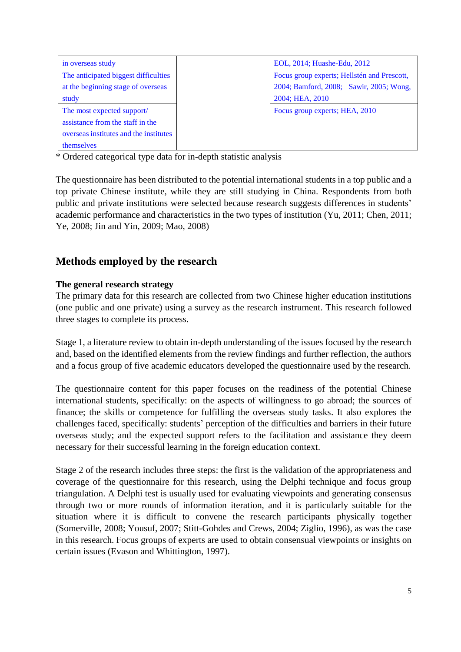| in overseas study                      | EOL, 2014; Huashe-Edu, 2012                 |
|----------------------------------------|---------------------------------------------|
| The anticipated biggest difficulties   | Focus group experts; Hellstén and Prescott, |
| at the beginning stage of overseas     | 2004; Bamford, 2008; Sawir, 2005; Wong,     |
| study                                  | 2004; HEA, 2010                             |
| The most expected support/             | Focus group experts; HEA, 2010              |
| assistance from the staff in the       |                                             |
| overseas institutes and the institutes |                                             |
| themselves                             |                                             |

\* Ordered categorical type data for in-depth statistic analysis

The questionnaire has been distributed to the potential international students in a top public and a top private Chinese institute, while they are still studying in China. Respondents from both public and private institutions were selected because research suggests differences in students' academic performance and characteristics in the two types of institution (Yu, 2011; Chen, 2011; Ye, 2008; Jin and Yin, 2009; Mao, 2008)

# **Methods employed by the research**

### **The general research strategy**

The primary data for this research are collected from two Chinese higher education institutions (one public and one private) using a survey as the research instrument. This research followed three stages to complete its process.

Stage 1, a literature review to obtain in-depth understanding of the issues focused by the research and, based on the identified elements from the review findings and further reflection, the authors and a focus group of five academic educators developed the questionnaire used by the research.

The questionnaire content for this paper focuses on the readiness of the potential Chinese international students, specifically: on the aspects of willingness to go abroad; the sources of finance; the skills or competence for fulfilling the overseas study tasks. It also explores the challenges faced, specifically: students' perception of the difficulties and barriers in their future overseas study; and the expected support refers to the facilitation and assistance they deem necessary for their successful learning in the foreign education context.

Stage 2 of the research includes three steps: the first is the validation of the appropriateness and coverage of the questionnaire for this research, using the Delphi technique and focus group triangulation. A Delphi test is usually used for evaluating viewpoints and generating consensus through two or more rounds of information iteration, and it is particularly suitable for the situation where it is difficult to convene the research participants physically together (Somerville, 2008; Yousuf, 2007; Stitt-Gohdes and Crews, 2004; Ziglio, 1996), as was the case in this research. Focus groups of experts are used to obtain consensual viewpoints or insights on certain issues (Evason and Whittington, 1997).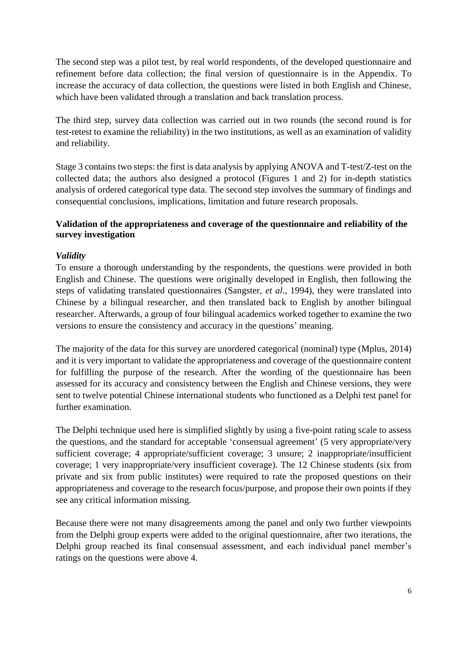The second step was a pilot test, by real world respondents, of the developed questionnaire and refinement before data collection; the final version of questionnaire is in the Appendix. To increase the accuracy of data collection, the questions were listed in both English and Chinese, which have been validated through a translation and back translation process.

The third step, survey data collection was carried out in two rounds (the second round is for test-retest to examine the reliability) in the two institutions, as well as an examination of validity and reliability.

Stage 3 contains two steps: the first is data analysis by applying ANOVA and T-test/Z-test on the collected data; the authors also designed a protocol (Figures 1 and 2) for in-depth statistics analysis of ordered categorical type data. The second step involves the summary of findings and consequential conclusions, implications, limitation and future research proposals.

### **Validation of the appropriateness and coverage of the questionnaire and reliability of the survey investigation**

### *Validity*

To ensure a thorough understanding by the respondents, the questions were provided in both English and Chinese. The questions were originally developed in English, then following the steps of validating translated questionnaires (Sangster, *et al*., 1994), they were translated into Chinese by a bilingual researcher, and then translated back to English by another bilingual researcher. Afterwards, a group of four bilingual academics worked together to examine the two versions to ensure the consistency and accuracy in the questions' meaning.

The majority of the data for this survey are unordered categorical (nominal) type (Mplus, 2014) and it is very important to validate the appropriateness and coverage of the questionnaire content for fulfilling the purpose of the research. After the wording of the questionnaire has been assessed for its accuracy and consistency between the English and Chinese versions, they were sent to twelve potential Chinese international students who functioned as a Delphi test panel for further examination.

The Delphi technique used here is simplified slightly by using a five-point rating scale to assess the questions, and the standard for acceptable 'consensual agreement' (5 very appropriate/very sufficient coverage; 4 appropriate/sufficient coverage; 3 unsure; 2 inappropriate/insufficient coverage; 1 very inappropriate/very insufficient coverage). The 12 Chinese students (six from private and six from public institutes) were required to rate the proposed questions on their appropriateness and coverage to the research focus/purpose, and propose their own points if they see any critical information missing.

Because there were not many disagreements among the panel and only two further viewpoints from the Delphi group experts were added to the original questionnaire, after two iterations, the Delphi group reached its final consensual assessment, and each individual panel member's ratings on the questions were above 4.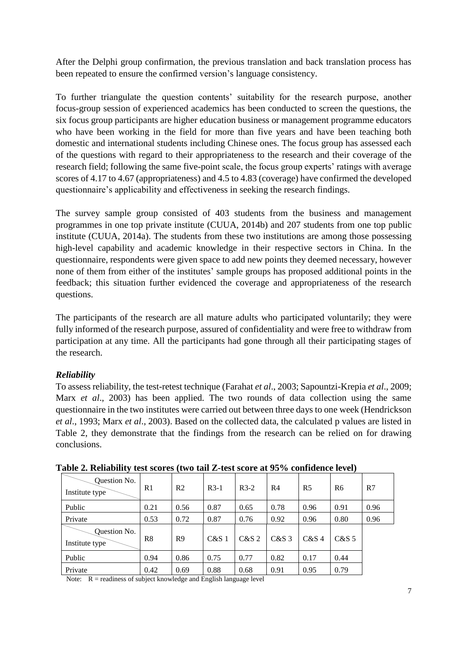After the Delphi group confirmation, the previous translation and back translation process has been repeated to ensure the confirmed version's language consistency.

To further triangulate the question contents' suitability for the research purpose, another focus-group session of experienced academics has been conducted to screen the questions, the six focus group participants are higher education business or management programme educators who have been working in the field for more than five years and have been teaching both domestic and international students including Chinese ones. The focus group has assessed each of the questions with regard to their appropriateness to the research and their coverage of the research field; following the same five-point scale, the focus group experts' ratings with average scores of 4.17 to 4.67 (appropriateness) and 4.5 to 4.83 (coverage) have confirmed the developed questionnaire's applicability and effectiveness in seeking the research findings.

The survey sample group consisted of 403 students from the business and management programmes in one top private institute (CUUA, 2014b) and 207 students from one top public institute (CUUA, 2014a). The students from these two institutions are among those possessing high-level capability and academic knowledge in their respective sectors in China. In the questionnaire, respondents were given space to add new points they deemed necessary, however none of them from either of the institutes' sample groups has proposed additional points in the feedback; this situation further evidenced the coverage and appropriateness of the research questions.

The participants of the research are all mature adults who participated voluntarily; they were fully informed of the research purpose, assured of confidentiality and were free to withdraw from participation at any time. All the participants had gone through all their participating stages of the research.

### *Reliability*

To assess reliability, the test-retest technique (Farahat *et al*., 2003; Sapountzi-Krepia *et al*., 2009; Marx *et al*., 2003) has been applied. The two rounds of data collection using the same questionnaire in the two institutes were carried out between three days to one week (Hendrickson *et al*., 1993; Marx *et al*., 2003). Based on the collected data, the calculated p values are listed in Table 2, they demonstrate that the findings from the research can be relied on for drawing conclusions.

| Question No.<br>Institute type        | R1   | R <sub>2</sub> | $R3-1$           | $R3-2$  | R <sub>4</sub> | R <sub>5</sub> | R6               | R7   |
|---------------------------------------|------|----------------|------------------|---------|----------------|----------------|------------------|------|
| Public                                | 0.21 | 0.56           | 0.87             | 0.65    | 0.78           | 0.96           | 0.91             | 0.96 |
| Private                               | 0.53 | 0.72           | 0.87             | 0.76    | 0.92           | 0.96           | 0.80             | 0.96 |
| <b>Ouestion No.</b><br>Institute type | R8   | R9             | C&S <sub>1</sub> | $C&S$ 2 | $C&S$ 3        | $C&S$ 4        | C&S <sub>5</sub> |      |
| Public                                | 0.94 | 0.86           | 0.75             | 0.77    | 0.82           | 0.17           | 0.44             |      |
| Private                               | 0.42 | 0.69           | 0.88             | 0.68    | 0.91           | 0.95           | 0.79             |      |

**Table 2. Reliability test scores (two tail Z-test score at 95% confidence level)**

Note:  $R =$  readiness of subject knowledge and English language level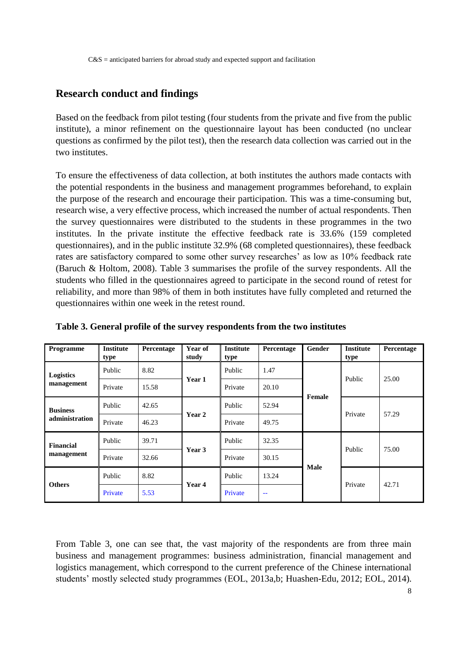$C&S$  = anticipated barriers for abroad study and expected support and facilitation

## **Research conduct and findings**

Based on the feedback from pilot testing (four students from the private and five from the public institute), a minor refinement on the questionnaire layout has been conducted (no unclear questions as confirmed by the pilot test), then the research data collection was carried out in the two institutes.

To ensure the effectiveness of data collection, at both institutes the authors made contacts with the potential respondents in the business and management programmes beforehand, to explain the purpose of the research and encourage their participation. This was a time-consuming but, research wise, a very effective process, which increased the number of actual respondents. Then the survey questionnaires were distributed to the students in these programmes in the two institutes. In the private institute the effective feedback rate is 33.6% (159 completed questionnaires), and in the public institute 32.9% (68 completed questionnaires), these feedback rates are satisfactory compared to some other survey researches' as low as 10% feedback rate (Baruch & Holtom, 2008). Table 3 summarises the profile of the survey respondents. All the students who filled in the questionnaires agreed to participate in the second round of retest for reliability, and more than 98% of them in both institutes have fully completed and returned the questionnaires within one week in the retest round.

| Programme        | <b>Institute</b><br>type | Percentage | Year of<br>study | <b>Institute</b><br>type | Percentage    | <b>Gender</b> | <b>Institute</b><br>type | Percentage |
|------------------|--------------------------|------------|------------------|--------------------------|---------------|---------------|--------------------------|------------|
| <b>Logistics</b> | Public                   | 8.82       | Year 1           | Public                   | 1.47          | Female        | Public                   | 25.00      |
| management       | Private                  | 15.58      |                  | Private                  | 20.10         |               |                          |            |
| <b>Business</b>  | Public                   | 42.65      | Year 2           | Public                   | 52.94         |               | Private                  | 57.29      |
| administration   | Private                  | 46.23      |                  | Private                  | 49.75         |               |                          |            |
| <b>Financial</b> | Public                   | 39.71      | Year 3           | Public                   | 32.35         | <b>Male</b>   | Public                   | 75.00      |
| management       | Private                  | 32.66      |                  | Private                  | 30.15         |               |                          |            |
| <b>Others</b>    | Public                   | 8.82       | Year 4           | Public                   | 13.24         |               | Private                  | 42.71      |
|                  | Private                  | 5.53       |                  | Private                  | $\sim$ $\sim$ |               |                          |            |

**Table 3. General profile of the survey respondents from the two institutes**

From Table 3, one can see that, the vast majority of the respondents are from three main business and management programmes: business administration, financial management and logistics management, which correspond to the current preference of the Chinese international students' mostly selected study programmes (EOL, 2013a,b; Huashen-Edu, 2012; EOL, 2014).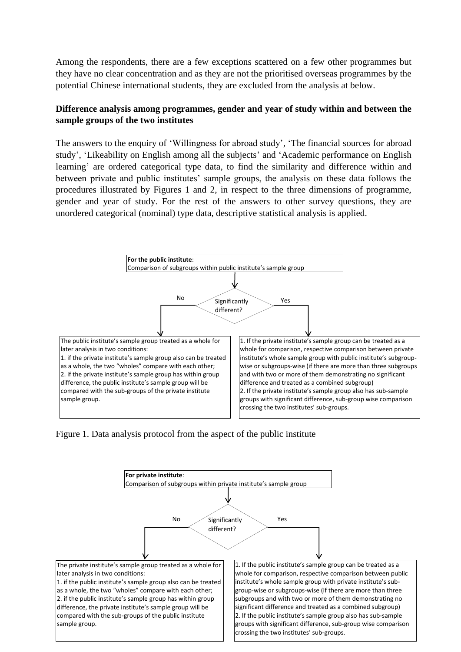Among the respondents, there are a few exceptions scattered on a few other programmes but they have no clear concentration and as they are not the prioritised overseas programmes by the potential Chinese international students, they are excluded from the analysis at below.

### **Difference analysis among programmes, gender and year of study within and between the sample groups of the two institutes**

The answers to the enquiry of 'Willingness for abroad study', 'The financial sources for abroad study', 'Likeability on English among all the subjects' and 'Academic performance on English learning' are ordered categorical type data, to find the similarity and difference within and between private and public institutes' sample groups, the analysis on these data follows the procedures illustrated by Figures 1 and 2, in respect to the three dimensions of programme, gender and year of study. For the rest of the answers to other survey questions, they are unordered categorical (nominal) type data, descriptive statistical analysis is applied.



Figure 1. Data analysis protocol from the aspect of the public institute

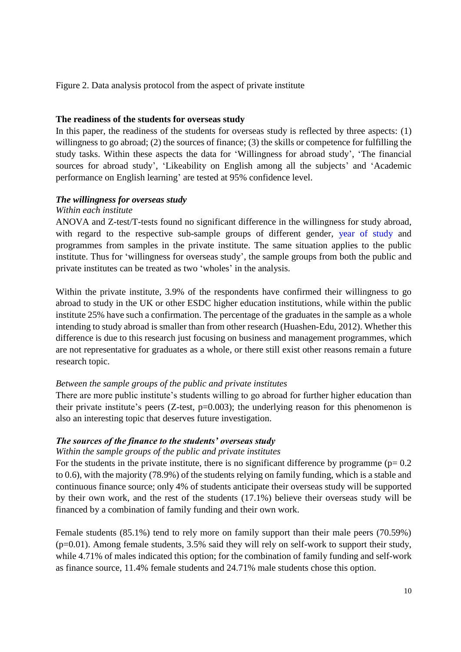### Figure 2. Data analysis protocol from the aspect of private institute

#### **The readiness of the students for overseas study**

In this paper, the readiness of the students for overseas study is reflected by three aspects: (1) willingness to go abroad; (2) the sources of finance; (3) the skills or competence for fulfilling the study tasks. Within these aspects the data for 'Willingness for abroad study', 'The financial sources for abroad study', 'Likeability on English among all the subjects' and 'Academic performance on English learning' are tested at 95% confidence level.

#### *The willingness for overseas study*

#### *Within each institute*

ANOVA and Z-test/T-tests found no significant difference in the willingness for study abroad, with regard to the respective sub-sample groups of different gender, year of study and programmes from samples in the private institute. The same situation applies to the public institute. Thus for 'willingness for overseas study', the sample groups from both the public and private institutes can be treated as two 'wholes' in the analysis.

Within the private institute, 3.9% of the respondents have confirmed their willingness to go abroad to study in the UK or other ESDC higher education institutions, while within the public institute 25% have such a confirmation. The percentage of the graduates in the sample as a whole intending to study abroad is smaller than from other research (Huashen-Edu, 2012). Whether this difference is due to this research just focusing on business and management programmes, which are not representative for graduates as a whole, or there still exist other reasons remain a future research topic.

#### *Between the sample groups of the public and private institutes*

There are more public institute's students willing to go abroad for further higher education than their private institute's peers  $(Z$ -test,  $p=0.003$ ); the underlying reason for this phenomenon is also an interesting topic that deserves future investigation.

#### *The sources of the finance to the students' overseas study*

#### *Within the sample groups of the public and private institutes*

For the students in the private institute, there is no significant difference by programme ( $p= 0.2$ ) to 0.6), with the majority (78.9%) of the students relying on family funding, which is a stable and continuous finance source; only 4% of students anticipate their overseas study will be supported by their own work, and the rest of the students (17.1%) believe their overseas study will be financed by a combination of family funding and their own work.

Female students (85.1%) tend to rely more on family support than their male peers (70.59%) (p=0.01). Among female students, 3.5% said they will rely on self-work to support their study, while 4.71% of males indicated this option; for the combination of family funding and self-work as finance source, 11.4% female students and 24.71% male students chose this option.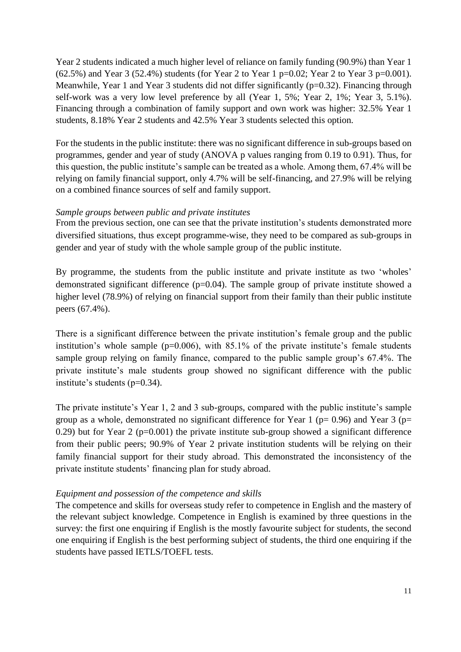Year 2 students indicated a much higher level of reliance on family funding (90.9%) than Year 1  $(62.5\%)$  and Year 3 (52.4%) students (for Year 2 to Year 1 p=0.02; Year 2 to Year 3 p=0.001). Meanwhile, Year 1 and Year 3 students did not differ significantly (p=0.32). Financing through self-work was a very low level preference by all (Year 1, 5%; Year 2, 1%; Year 3, 5.1%). Financing through a combination of family support and own work was higher: 32.5% Year 1 students, 8.18% Year 2 students and 42.5% Year 3 students selected this option.

For the students in the public institute: there was no significant difference in sub-groups based on programmes, gender and year of study (ANOVA p values ranging from 0.19 to 0.91). Thus, for this question, the public institute's sample can be treated as a whole. Among them, 67.4% will be relying on family financial support, only 4.7% will be self-financing, and 27.9% will be relying on a combined finance sources of self and family support.

#### *Sample groups between public and private institutes*

From the previous section, one can see that the private institution's students demonstrated more diversified situations, thus except programme-wise, they need to be compared as sub-groups in gender and year of study with the whole sample group of the public institute.

By programme, the students from the public institute and private institute as two 'wholes' demonstrated significant difference  $(p=0.04)$ . The sample group of private institute showed a higher level (78.9%) of relying on financial support from their family than their public institute peers (67.4%).

There is a significant difference between the private institution's female group and the public institution's whole sample  $(p=0.006)$ , with 85.1% of the private institute's female students sample group relying on family finance, compared to the public sample group's 67.4%. The private institute's male students group showed no significant difference with the public institute's students (p=0.34).

The private institute's Year 1, 2 and 3 sub-groups, compared with the public institute's sample group as a whole, demonstrated no significant difference for Year 1 ( $p= 0.96$ ) and Year 3 ( $p=$ 0.29) but for Year 2 ( $p=0.001$ ) the private institute sub-group showed a significant difference from their public peers; 90.9% of Year 2 private institution students will be relying on their family financial support for their study abroad. This demonstrated the inconsistency of the private institute students' financing plan for study abroad.

#### *Equipment and possession of the competence and skills*

The competence and skills for overseas study refer to competence in English and the mastery of the relevant subject knowledge. Competence in English is examined by three questions in the survey: the first one enquiring if English is the mostly favourite subject for students, the second one enquiring if English is the best performing subject of students, the third one enquiring if the students have passed IETLS/TOEFL tests.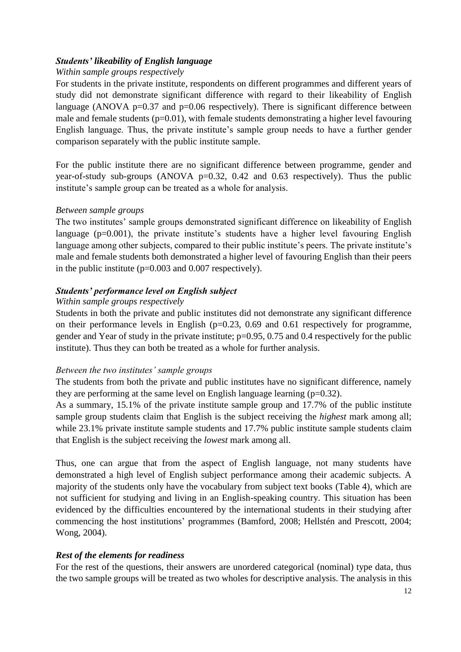### *Students' likeability of English language*

### *Within sample groups respectively*

For students in the private institute, respondents on different programmes and different years of study did not demonstrate significant difference with regard to their likeability of English language (ANOVA  $p=0.37$  and  $p=0.06$  respectively). There is significant difference between male and female students (p=0.01), with female students demonstrating a higher level favouring English language. Thus, the private institute's sample group needs to have a further gender comparison separately with the public institute sample.

For the public institute there are no significant difference between programme, gender and year-of-study sub-groups (ANOVA p=0.32, 0.42 and 0.63 respectively). Thus the public institute's sample group can be treated as a whole for analysis.

### *Between sample groups*

The two institutes' sample groups demonstrated significant difference on likeability of English language ( $p=0.001$ ), the private institute's students have a higher level favouring English language among other subjects, compared to their public institute's peers. The private institute's male and female students both demonstrated a higher level of favouring English than their peers in the public institute (p=0.003 and 0.007 respectively).

### *Students' performance level on English subject*

### *Within sample groups respectively*

Students in both the private and public institutes did not demonstrate any significant difference on their performance levels in English ( $p=0.23$ , 0.69 and 0.61 respectively for programme, gender and Year of study in the private institute; p=0.95, 0.75 and 0.4 respectively for the public institute). Thus they can both be treated as a whole for further analysis.

### *Between the two institutes' sample groups*

The students from both the private and public institutes have no significant difference, namely they are performing at the same level on English language learning  $(p=0.32)$ .

As a summary, 15.1% of the private institute sample group and 17.7% of the public institute sample group students claim that English is the subject receiving the *highest* mark among all; while 23.1% private institute sample students and 17.7% public institute sample students claim that English is the subject receiving the *lowest* mark among all.

Thus, one can argue that from the aspect of English language, not many students have demonstrated a high level of English subject performance among their academic subjects. A majority of the students only have the vocabulary from subject text books (Table 4), which are not sufficient for studying and living in an English-speaking country. This situation has been evidenced by the difficulties encountered by the international students in their studying after commencing the host institutions' programmes (Bamford, 2008; Hellstén and Prescott, 2004; Wong, 2004).

### *Rest of the elements for readiness*

For the rest of the questions, their answers are unordered categorical (nominal) type data, thus the two sample groups will be treated as two wholes for descriptive analysis. The analysis in this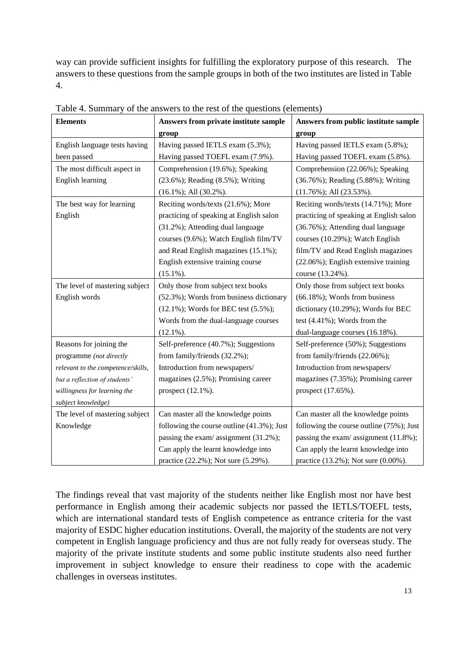way can provide sufficient insights for fulfilling the exploratory purpose of this research. The answers to these questions from the sample groups in both of the two institutes are listed in Table 4.

| <b>Elements</b>                    | Answers from private institute sample      | Answers from public institute sample     |
|------------------------------------|--------------------------------------------|------------------------------------------|
|                                    | group                                      | group                                    |
| English language tests having      | Having passed IETLS exam (5.3%);           | Having passed IETLS exam (5.8%);         |
| been passed                        | Having passed TOEFL exam (7.9%).           | Having passed TOEFL exam (5.8%).         |
| The most difficult aspect in       | Comprehension (19.6%); Speaking            | Comprehension (22.06%); Speaking         |
| English learning                   | (23.6%); Reading (8.5%); Writing           | (36.76%); Reading (5.88%); Writing       |
|                                    | $(16.1\%)$ ; All $(30.2\%)$ .              | $(11.76\%)$ ; All $(23.53\%)$ .          |
| The best way for learning          | Reciting words/texts (21.6%); More         | Reciting words/texts (14.71%); More      |
| English                            | practicing of speaking at English salon    | practicing of speaking at English salon  |
|                                    | (31.2%); Attending dual language           | (36.76%); Attending dual language        |
|                                    | courses (9.6%); Watch English film/TV      | courses (10.29%); Watch English          |
|                                    | and Read English magazines (15.1%);        | film/TV and Read English magazines       |
|                                    | English extensive training course          | (22.06%); English extensive training     |
|                                    | $(15.1\%)$ .                               | course (13.24%).                         |
| The level of mastering subject     | Only those from subject text books         | Only those from subject text books       |
| English words                      | (52.3%); Words from business dictionary    | $(66.18\%)$ ; Words from business        |
|                                    | (12.1%); Words for BEC test (5.5%);        | dictionary (10.29%); Words for BEC       |
|                                    | Words from the dual-language courses       | test (4.41%); Words from the             |
|                                    | $(12.1\%)$ .                               | dual-language courses (16.18%).          |
| Reasons for joining the            | Self-preference (40.7%); Suggestions       | Self-preference (50%); Suggestions       |
| programme (not directly            | from family/friends (32.2%);               | from family/friends (22.06%);            |
| relevant to the competence/skills, | Introduction from newspapers/              | Introduction from newspapers/            |
| but a reflection of students'      | magazines (2.5%); Promising career         | magazines (7.35%); Promising career      |
| willingness for learning the       | prospect $(12.1\%)$ .                      | prospect (17.65%).                       |
| subject knowledge)                 |                                            |                                          |
| The level of mastering subject     | Can master all the knowledge points        | Can master all the knowledge points      |
| Knowledge                          | following the course outline (41.3%); Just | following the course outline (75%); Just |
|                                    | passing the exam/assignment (31.2%);       | passing the exam/assignment (11.8%);     |
|                                    | Can apply the learnt knowledge into        | Can apply the learnt knowledge into      |
|                                    | practice (22.2%); Not sure (5.29%).        | practice (13.2%); Not sure (0.00%).      |

Table 4. Summary of the answers to the rest of the questions (elements)

The findings reveal that vast majority of the students neither like English most nor have best performance in English among their academic subjects nor passed the IETLS/TOEFL tests, which are international standard tests of English competence as entrance criteria for the vast majority of ESDC higher education institutions. Overall, the majority of the students are not very competent in English language proficiency and thus are not fully ready for overseas study. The majority of the private institute students and some public institute students also need further improvement in subject knowledge to ensure their readiness to cope with the academic challenges in overseas institutes.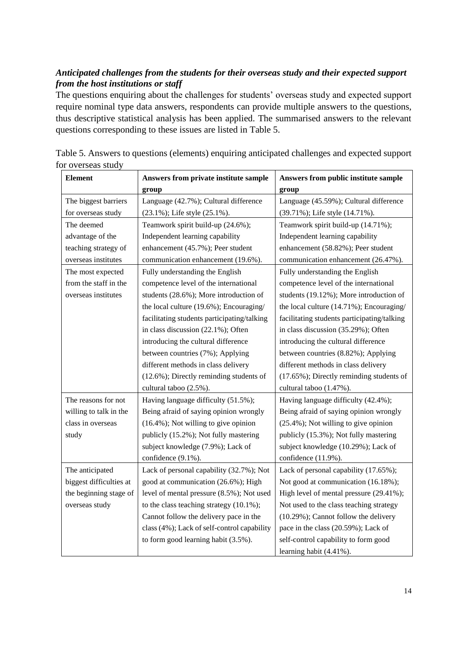## *Anticipated challenges from the students for their overseas study and their expected support from the host institutions or staff*

The questions enquiring about the challenges for students' overseas study and expected support require nominal type data answers, respondents can provide multiple answers to the questions, thus descriptive statistical analysis has been applied. The summarised answers to the relevant questions corresponding to these issues are listed in Table 5.

| <b>Element</b>          | Answers from private institute sample       | Answers from public institute sample        |  |  |
|-------------------------|---------------------------------------------|---------------------------------------------|--|--|
|                         | group                                       | group                                       |  |  |
| The biggest barriers    | Language (42.7%); Cultural difference       | Language (45.59%); Cultural difference      |  |  |
| for overseas study      | (23.1%); Life style (25.1%).                | (39.71%); Life style (14.71%).              |  |  |
| The deemed              | Teamwork spirit build-up (24.6%);           | Teamwork spirit build-up (14.71%);          |  |  |
| advantage of the        | Independent learning capability             | Independent learning capability             |  |  |
| teaching strategy of    | enhancement (45.7%); Peer student           | enhancement (58.82%); Peer student          |  |  |
| overseas institutes     | communication enhancement (19.6%).          | communication enhancement (26.47%).         |  |  |
| The most expected       | Fully understanding the English             | Fully understanding the English             |  |  |
| from the staff in the   | competence level of the international       | competence level of the international       |  |  |
| overseas institutes     | students (28.6%); More introduction of      | students (19.12%); More introduction of     |  |  |
|                         | the local culture (19.6%); Encouraging/     | the local culture (14.71%); Encouraging/    |  |  |
|                         | facilitating students participating/talking | facilitating students participating/talking |  |  |
|                         | in class discussion (22.1%); Often          | in class discussion (35.29%); Often         |  |  |
|                         | introducing the cultural difference         | introducing the cultural difference         |  |  |
|                         | between countries (7%); Applying            | between countries (8.82%); Applying         |  |  |
|                         | different methods in class delivery         | different methods in class delivery         |  |  |
|                         | (12.6%); Directly reminding students of     | (17.65%); Directly reminding students of    |  |  |
|                         | cultural taboo (2.5%).                      | cultural taboo (1.47%).                     |  |  |
| The reasons for not     | Having language difficulty (51.5%);         | Having language difficulty (42.4%);         |  |  |
| willing to talk in the  | Being afraid of saying opinion wrongly      | Being afraid of saying opinion wrongly      |  |  |
| class in overseas       | $(16.4\%)$ ; Not willing to give opinion    | $(25.4\%)$ ; Not willing to give opinion    |  |  |
| study                   | publicly (15.2%); Not fully mastering       | publicly (15.3%); Not fully mastering       |  |  |
|                         | subject knowledge (7.9%); Lack of           | subject knowledge (10.29%); Lack of         |  |  |
|                         | confidence (9.1%).                          | confidence (11.9%).                         |  |  |
| The anticipated         | Lack of personal capability (32.7%); Not    | Lack of personal capability (17.65%);       |  |  |
| biggest difficulties at | good at communication (26.6%); High         | Not good at communication (16.18%);         |  |  |
| the beginning stage of  | level of mental pressure (8.5%); Not used   | High level of mental pressure (29.41%);     |  |  |
| overseas study          | to the class teaching strategy $(10.1\%)$ ; | Not used to the class teaching strategy     |  |  |
|                         | Cannot follow the delivery pace in the      | (10.29%); Cannot follow the delivery        |  |  |
|                         | class (4%); Lack of self-control capability | pace in the class (20.59%); Lack of         |  |  |
|                         | to form good learning habit (3.5%).         | self-control capability to form good        |  |  |
|                         |                                             | learning habit (4.41%).                     |  |  |

Table 5. Answers to questions (elements) enquiring anticipated challenges and expected support for overseas study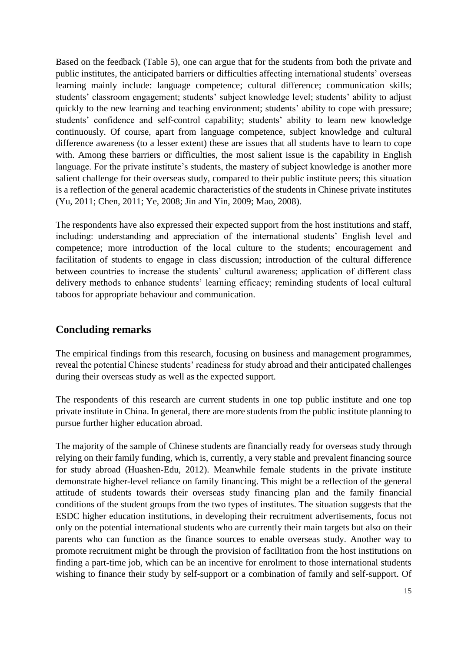Based on the feedback (Table 5), one can argue that for the students from both the private and public institutes, the anticipated barriers or difficulties affecting international students' overseas learning mainly include: language competence; cultural difference; communication skills; students' classroom engagement; students' subject knowledge level; students' ability to adjust quickly to the new learning and teaching environment; students' ability to cope with pressure; students' confidence and self-control capability; students' ability to learn new knowledge continuously. Of course, apart from language competence, subject knowledge and cultural difference awareness (to a lesser extent) these are issues that all students have to learn to cope with. Among these barriers or difficulties, the most salient issue is the capability in English language. For the private institute's students, the mastery of subject knowledge is another more salient challenge for their overseas study, compared to their public institute peers; this situation is a reflection of the general academic characteristics of the students in Chinese private institutes (Yu, 2011; Chen, 2011; Ye, 2008; Jin and Yin, 2009; Mao, 2008).

The respondents have also expressed their expected support from the host institutions and staff, including: understanding and appreciation of the international students' English level and competence; more introduction of the local culture to the students; encouragement and facilitation of students to engage in class discussion; introduction of the cultural difference between countries to increase the students' cultural awareness; application of different class delivery methods to enhance students' learning efficacy; reminding students of local cultural taboos for appropriate behaviour and communication.

# **Concluding remarks**

The empirical findings from this research, focusing on business and management programmes, reveal the potential Chinese students' readiness for study abroad and their anticipated challenges during their overseas study as well as the expected support.

The respondents of this research are current students in one top public institute and one top private institute in China. In general, there are more students from the public institute planning to pursue further higher education abroad.

The majority of the sample of Chinese students are financially ready for overseas study through relying on their family funding, which is, currently, a very stable and prevalent financing source for study abroad (Huashen-Edu, 2012). Meanwhile female students in the private institute demonstrate higher-level reliance on family financing. This might be a reflection of the general attitude of students towards their overseas study financing plan and the family financial conditions of the student groups from the two types of institutes. The situation suggests that the ESDC higher education institutions, in developing their recruitment advertisements, focus not only on the potential international students who are currently their main targets but also on their parents who can function as the finance sources to enable overseas study. Another way to promote recruitment might be through the provision of facilitation from the host institutions on finding a part-time job, which can be an incentive for enrolment to those international students wishing to finance their study by self-support or a combination of family and self-support. Of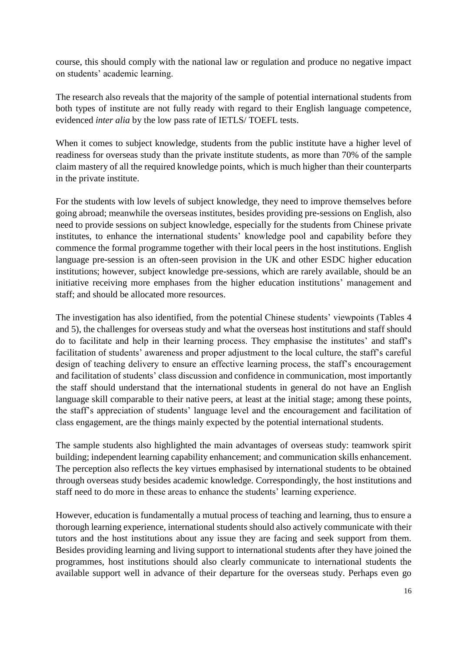course, this should comply with the national law or regulation and produce no negative impact on students' academic learning.

The research also reveals that the majority of the sample of potential international students from both types of institute are not fully ready with regard to their English language competence, evidenced *inter alia* by the low pass rate of IETLS/ TOEFL tests.

When it comes to subject knowledge, students from the public institute have a higher level of readiness for overseas study than the private institute students, as more than 70% of the sample claim mastery of all the required knowledge points, which is much higher than their counterparts in the private institute.

For the students with low levels of subject knowledge, they need to improve themselves before going abroad; meanwhile the overseas institutes, besides providing pre-sessions on English, also need to provide sessions on subject knowledge, especially for the students from Chinese private institutes, to enhance the international students' knowledge pool and capability before they commence the formal programme together with their local peers in the host institutions. English language pre-session is an often-seen provision in the UK and other ESDC higher education institutions; however, subject knowledge pre-sessions, which are rarely available, should be an initiative receiving more emphases from the higher education institutions' management and staff; and should be allocated more resources.

The investigation has also identified, from the potential Chinese students' viewpoints (Tables 4 and 5), the challenges for overseas study and what the overseas host institutions and staff should do to facilitate and help in their learning process. They emphasise the institutes' and staff's facilitation of students' awareness and proper adjustment to the local culture, the staff's careful design of teaching delivery to ensure an effective learning process, the staff's encouragement and facilitation of students' class discussion and confidence in communication, most importantly the staff should understand that the international students in general do not have an English language skill comparable to their native peers, at least at the initial stage; among these points, the staff's appreciation of students' language level and the encouragement and facilitation of class engagement, are the things mainly expected by the potential international students.

The sample students also highlighted the main advantages of overseas study: teamwork spirit building; independent learning capability enhancement; and communication skills enhancement. The perception also reflects the key virtues emphasised by international students to be obtained through overseas study besides academic knowledge. Correspondingly, the host institutions and staff need to do more in these areas to enhance the students' learning experience.

However, education is fundamentally a mutual process of teaching and learning, thus to ensure a thorough learning experience, international students should also actively communicate with their tutors and the host institutions about any issue they are facing and seek support from them. Besides providing learning and living support to international students after they have joined the programmes, host institutions should also clearly communicate to international students the available support well in advance of their departure for the overseas study. Perhaps even go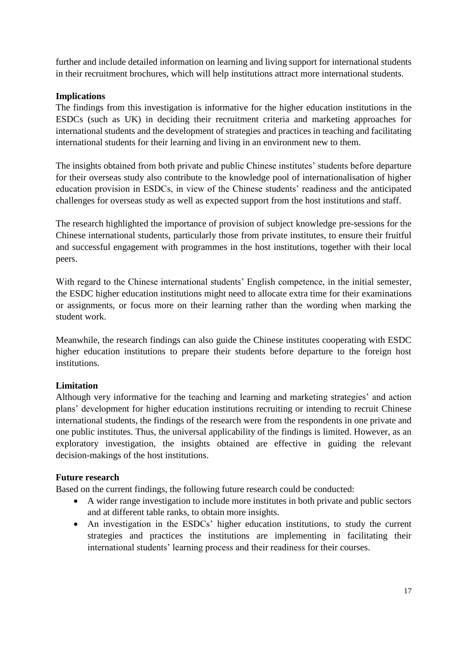further and include detailed information on learning and living support for international students in their recruitment brochures, which will help institutions attract more international students.

### **Implications**

The findings from this investigation is informative for the higher education institutions in the ESDCs (such as UK) in deciding their recruitment criteria and marketing approaches for international students and the development of strategies and practices in teaching and facilitating international students for their learning and living in an environment new to them.

The insights obtained from both private and public Chinese institutes' students before departure for their overseas study also contribute to the knowledge pool of internationalisation of higher education provision in ESDCs, in view of the Chinese students' readiness and the anticipated challenges for overseas study as well as expected support from the host institutions and staff.

The research highlighted the importance of provision of subject knowledge pre-sessions for the Chinese international students, particularly those from private institutes, to ensure their fruitful and successful engagement with programmes in the host institutions, together with their local peers.

With regard to the Chinese international students' English competence, in the initial semester, the ESDC higher education institutions might need to allocate extra time for their examinations or assignments, or focus more on their learning rather than the wording when marking the student work.

Meanwhile, the research findings can also guide the Chinese institutes cooperating with ESDC higher education institutions to prepare their students before departure to the foreign host institutions.

### **Limitation**

Although very informative for the teaching and learning and marketing strategies' and action plans' development for higher education institutions recruiting or intending to recruit Chinese international students, the findings of the research were from the respondents in one private and one public institutes. Thus, the universal applicability of the findings is limited. However, as an exploratory investigation, the insights obtained are effective in guiding the relevant decision-makings of the host institutions.

#### **Future research**

Based on the current findings, the following future research could be conducted:

- A wider range investigation to include more institutes in both private and public sectors and at different table ranks, to obtain more insights.
- An investigation in the ESDCs' higher education institutions, to study the current strategies and practices the institutions are implementing in facilitating their international students' learning process and their readiness for their courses.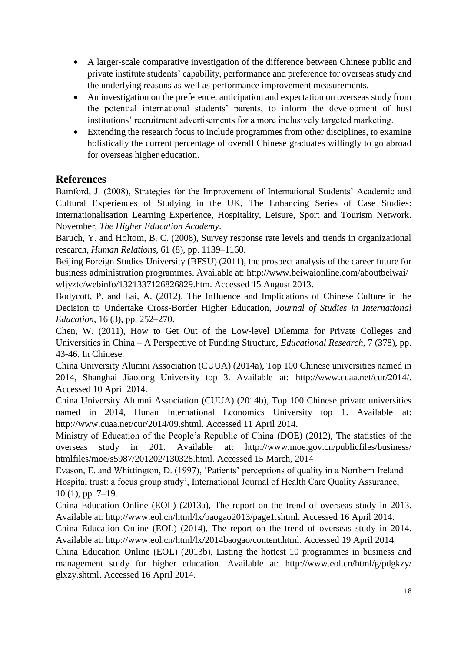- A larger-scale comparative investigation of the difference between Chinese public and private institute students' capability, performance and preference for overseas study and the underlying reasons as well as performance improvement measurements.
- An investigation on the preference, anticipation and expectation on overseas study from the potential international students' parents, to inform the development of host institutions' recruitment advertisements for a more inclusively targeted marketing.
- Extending the research focus to include programmes from other disciplines, to examine holistically the current percentage of overall Chinese graduates willingly to go abroad for overseas higher education.

# **References**

Bamford, J. (2008), Strategies for the Improvement of International Students' Academic and Cultural Experiences of Studying in the UK, The Enhancing Series of Case Studies: Internationalisation Learning Experience, Hospitality, Leisure, Sport and Tourism Network. November, *The Higher Education Academy*.

Baruch, Y. and Holtom, B. C. (2008), Survey response rate levels and trends in organizational research, *Human Relations*, 61 (8), pp. 1139–1160.

Beijing Foreign Studies University (BFSU) (2011), the prospect analysis of the career future for business administration programmes. Available at: http://www.beiwaionline.com/aboutbeiwai/ wljyztc/webinfo/1321337126826829.htm. Accessed 15 August 2013.

Bodycott, P. and Lai, A. (2012), The Influence and Implications of Chinese Culture in the Decision to Undertake Cross-Border Higher Education, *Journal of Studies in International Education*, 16 (3), pp. 252–270.

Chen, W. (2011), How to Get Out of the Low-level Dilemma for Private Colleges and Universities in China – A Perspective of Funding Structure, *Educational Research*, 7 (378), pp. 43-46. In Chinese.

China University Alumni Association (CUUA) (2014a), Top 100 Chinese universities named in 2014, Shanghai Jiaotong University top 3. Available at: http://www.cuaa.net/cur/2014/. Accessed 10 April 2014.

China University Alumni Association (CUUA) (2014b), Top 100 Chinese private universities named in 2014, Hunan International Economics University top 1. Available at: http://www.cuaa.net/cur/2014/09.shtml. Accessed 11 April 2014.

Ministry of Education of the People's Republic of China (DOE) (2012), The statistics of the overseas study in 201. Available at: http://www.moe.gov.cn/publicfiles/business/ htmlfiles/moe/s5987/201202/130328.html. Accessed 15 March, 2014

Evason, E. and Whittington, D. (1997), 'Patients' perceptions of quality in a Northern Ireland Hospital trust: a focus group study', International Journal of Health Care Quality Assurance, 10 (1), pp. 7–19.

China Education Online (EOL) (2013a), The report on the trend of overseas study in 2013. Available at: http://www.eol.cn/html/lx/baogao2013/page1.shtml. Accessed 16 April 2014.

China Education Online (EOL) (2014), The report on the trend of overseas study in 2014. Available at: http://www.eol.cn/html/lx/2014baogao/content.html. Accessed 19 April 2014.

China Education Online (EOL) (2013b), Listing the hottest 10 programmes in business and management study for higher education. Available at: http://www.eol.cn/html/g/pdgkzy/ glxzy.shtml. Accessed 16 April 2014.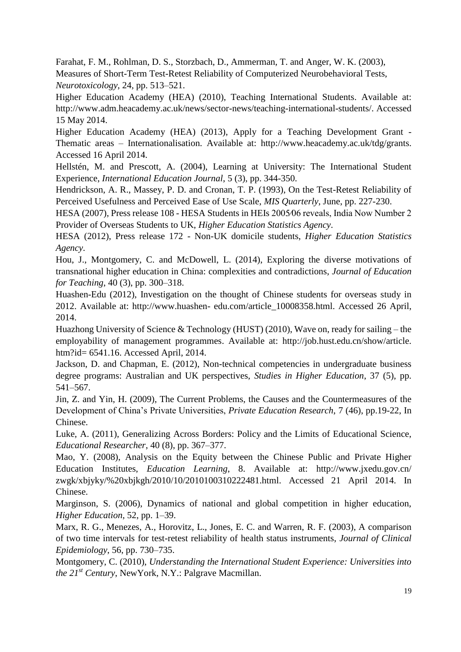Farahat, F. M., Rohlman, D. S., Storzbach, D., Ammerman, T. and Anger, W. K. (2003), Measures of Short-Term Test-Retest Reliability of Computerized Neurobehavioral Tests, *Neurotoxicology*, 24, pp. 513–521.

Higher Education Academy (HEA) (2010), Teaching International Students. Available at: http://www.adm.heacademy.ac.uk/news/sector-news/teaching-international-students/. Accessed 15 May 2014.

Higher Education Academy (HEA) (2013), Apply for a Teaching Development Grant - Thematic areas – Internationalisation. Available at: http://www.heacademy.ac.uk/tdg/grants. Accessed 16 April 2014.

Hellstén, M. and Prescott, A. (2004), Learning at University: The International Student Experience, *International Education Journal*, 5 (3), pp. 344-350.

Hendrickson, A. R., Massey, P. D. and Cronan, T. P. (1993), On the Test-Retest Reliability of Perceived Usefulness and Perceived Ease of Use Scale, *MIS Quarterly*, June, pp. 227-230.

HESA (2007), Press release 108 - HESA Students in HEIs 2005⁄06 reveals, India Now Number 2 Provider of Overseas Students to UK, *Higher Education Statistics Agency*.

HESA (2012), Press release 172 - Non-UK domicile students, *Higher Education Statistics Agency*.

Hou, J., Montgomery, C. and McDowell, L. (2014), Exploring the diverse motivations of transnational higher education in China: complexities and contradictions, *Journal of Education for Teaching*, 40 (3), pp. 300–318.

Huashen-Edu (2012), Investigation on the thought of Chinese students for overseas study in 2012. Available at: http://www.huashen- edu.com/article\_10008358.html. Accessed 26 April, 2014.

Huazhong University of Science & Technology (HUST) (2010), Wave on, ready for sailing – the employability of management programmes. Available at: http://job.hust.edu.cn/show/article. htm?id= 6541.16. Accessed April, 2014.

Jackson, D. and Chapman, E. (2012), Non-technical competencies in undergraduate business degree programs: Australian and UK perspectives, *Studies in Higher Education*, 37 (5), pp. 541–567.

Jin, Z. and Yin, H. (2009), The Current Problems, the Causes and the Countermeasures of the Development of China's Private Universities, *Private Education Research*, 7 (46), pp.19-22, In Chinese.

Luke, A. (2011), Generalizing Across Borders: Policy and the Limits of Educational Science, *Educational Researcher*, 40 (8), pp. 367–377.

Mao, Y. (2008), Analysis on the Equity between the Chinese Public and Private Higher Education Institutes, *Education Learning*, 8. Available at: http://www.jxedu.gov.cn/ zwgk/xbjyky/%20xbjkgh/2010/10/2010100310222481.html. Accessed 21 April 2014. In Chinese.

Marginson, S. (2006), Dynamics of national and global competition in higher education, *Higher Education*, 52, pp. 1–39.

Marx, R. G., Menezes, A., Horovitz, L., Jones, E. C. and Warren, R. F. (2003), A comparison of two time intervals for test-retest reliability of health status instruments, *Journal of Clinical Epidemiology*, 56, pp. 730–735.

Montgomery, C. (2010), *Understanding the International Student Experience: Universities into the 21 st Century*, NewYork, N.Y.: Palgrave Macmillan.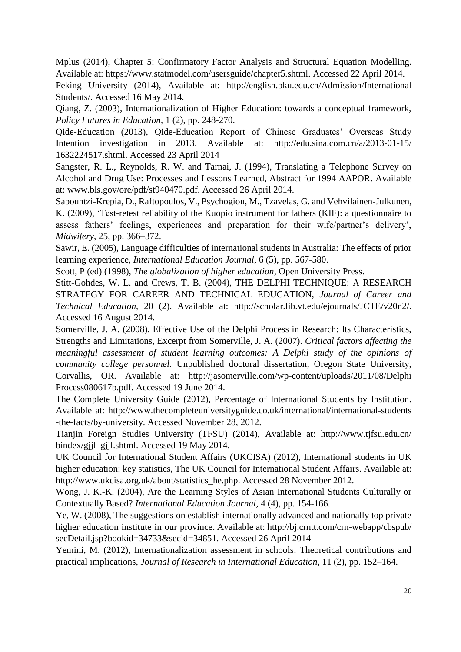Mplus (2014), Chapter 5: Confirmatory Factor Analysis and Structural Equation Modelling. Available at: https://www.statmodel.com/usersguide/chapter5.shtml. Accessed 22 April 2014.

Peking University (2014), Available at: http://english.pku.edu.cn/Admission/International Students/. Accessed 16 May 2014.

Qiang, Z. (2003), Internationalization of Higher Education: towards a conceptual framework, *Policy Futures in Education*, 1 (2), pp. 248-270.

Qide-Education (2013), Qide-Education Report of Chinese Graduates' Overseas Study Intention investigation in 2013. Available at: http://edu.sina.com.cn/a/2013-01-15/ 1632224517.shtml. Accessed 23 April 2014

Sangster, R. L., Reynolds, R. W. and Tarnai, J. (1994), Translating a Telephone Survey on Alcohol and Drug Use: Processes and Lessons Learned, Abstract for 1994 AAPOR. Available at: www.bls.gov/ore/pdf/st940470.pdf. Accessed 26 April 2014.

Sapountzi-Krepia, D., Raftopoulos, V., Psychogiou, M., Tzavelas, G. and Vehvilainen-Julkunen, K. (2009), 'Test-retest reliability of the Kuopio instrument for fathers (KIF): a questionnaire to assess fathers' feelings, experiences and preparation for their wife/partner's delivery', *Midwifery*, 25, pp. 366–372.

Sawir, E. (2005), Language difficulties of international students in Australia: The effects of prior learning experience, *International Education Journal*, 6 (5), pp. 567-580.

Scott, P (ed) (1998), *The globalization of higher education*, Open University Press.

Stitt-Gohdes, W. L. and Crews, T. B. (2004), THE DELPHI TECHNIQUE: A RESEARCH STRATEGY FOR CAREER AND TECHNICAL EDUCATION, *Journal of Career and Technical Education*, 20 (2). Available at: http://scholar.lib.vt.edu/ejournals/JCTE/v20n2/. Accessed 16 August 2014.

Somerville, J. A. (2008), Effective Use of the Delphi Process in Research: Its Characteristics, Strengths and Limitations, Excerpt from Somerville, J. A. (2007). *Critical factors affecting the meaningful assessment of student learning outcomes: A Delphi study of the opinions of community college personnel.* Unpublished doctoral dissertation, Oregon State University, Corvallis, OR. Available at: http://jasomerville.com/wp-content/uploads/2011/08/Delphi Process080617b.pdf. Accessed 19 June 2014.

The Complete University Guide (2012), Percentage of International Students by Institution. Available at: http://www.thecompleteuniversityguide.co.uk/international/international-students -the-facts/by-university. Accessed November 28, 2012.

Tianjin Foreign Studies University (TFSU) (2014), Available at: http://www.tjfsu.edu.cn/ bindex/gjjl\_gjjl.shtml. Accessed 19 May 2014.

UK Council for International Student Affairs (UKCISA) (2012), International students in UK higher education: key statistics, The UK Council for International Student Affairs. Available at: http://www.ukcisa.org.uk/about/statistics\_he.php. Accessed 28 November 2012.

Wong, J. K.-K. (2004), Are the Learning Styles of Asian International Students Culturally or Contextually Based? *International Education Journal*, 4 (4), pp. 154-166.

Ye, W. (2008), The suggestions on establish internationally advanced and nationally top private higher education institute in our province. Available at: http://bj.crntt.com/crn-webapp/cbspub/ secDetail.jsp?bookid=34733&secid=34851. Accessed 26 April 2014

Yemini, M. (2012), Internationalization assessment in schools: Theoretical contributions and practical implications, *Journal of Research in International Education*, 11 (2), pp. 152–164.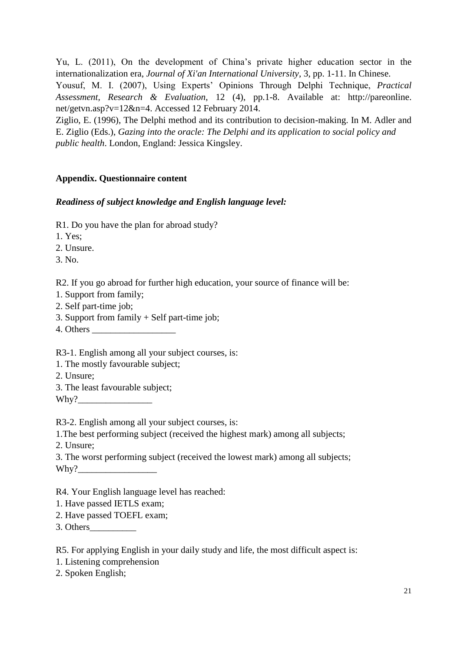Yu, L. (2011), On the development of China's private higher education sector in the internationalization era, *Journal of Xi'an International University*, 3, pp. 1-11. In Chinese.

Yousuf, M. I. (2007), Using Experts' Opinions Through Delphi Technique, *Practical Assessment, Research & Evaluation*, 12 (4), pp.1-8. Available at: http://pareonline. net/getvn.asp?v=12&n=4. Accessed 12 February 2014.

Ziglio, E. (1996), The Delphi method and its contribution to decision-making. In M. Adler and E. Ziglio (Eds.), *Gazing into the oracle: The Delphi and its application to social policy and public health*. London, England: Jessica Kingsley.

### **Appendix. Questionnaire content**

### *Readiness of subject knowledge and English language level:*

R1. Do you have the plan for abroad study?

1. Yes;

2. Unsure.

3. No.

R2. If you go abroad for further high education, your source of finance will be:

- 1. Support from family;
- 2. Self part-time job;
- 3. Support from family + Self part-time job;
- 4. Others \_\_\_\_\_\_\_\_\_\_\_\_\_\_\_\_\_\_

R3-1. English among all your subject courses, is:

1. The mostly favourable subject;

- 2. Unsure;
- 3. The least favourable subject;

Why?

R3-2. English among all your subject courses, is:

1.The best performing subject (received the highest mark) among all subjects;

2. Unsure;

3. The worst performing subject (received the lowest mark) among all subjects; Why?

R4. Your English language level has reached:

- 1. Have passed IETLS exam;
- 2. Have passed TOEFL exam;

3. Others\_\_\_\_\_\_\_\_\_\_

R5. For applying English in your daily study and life, the most difficult aspect is:

- 1. Listening comprehension
- 2. Spoken English;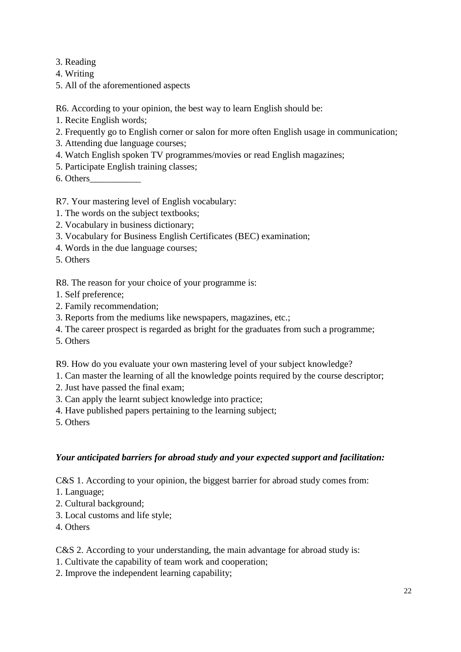- 3. Reading
- 4. Writing
- 5. All of the aforementioned aspects

R6. According to your opinion, the best way to learn English should be:

- 1. Recite English words;
- 2. Frequently go to English corner or salon for more often English usage in communication;
- 3. Attending due language courses;
- 4. Watch English spoken TV programmes/movies or read English magazines;
- 5. Participate English training classes;
- 6. Others\_\_\_\_\_\_\_\_\_\_\_

R7. Your mastering level of English vocabulary:

- 1. The words on the subject textbooks;
- 2. Vocabulary in business dictionary;
- 3. Vocabulary for Business English Certificates (BEC) examination;
- 4. Words in the due language courses;
- 5. Others

R8. The reason for your choice of your programme is:

- 1. Self preference;
- 2. Family recommendation;
- 3. Reports from the mediums like newspapers, magazines, etc.;
- 4. The career prospect is regarded as bright for the graduates from such a programme;
- 5. Others

R9. How do you evaluate your own mastering level of your subject knowledge?

- 1. Can master the learning of all the knowledge points required by the course descriptor;
- 2. Just have passed the final exam;
- 3. Can apply the learnt subject knowledge into practice;
- 4. Have published papers pertaining to the learning subject;
- 5. Others

### *Your anticipated barriers for abroad study and your expected support and facilitation:*

C&S 1. According to your opinion, the biggest barrier for abroad study comes from:

- 1. Language;
- 2. Cultural background;
- 3. Local customs and life style;
- 4. Others

C&S 2. According to your understanding, the main advantage for abroad study is:

- 1. Cultivate the capability of team work and cooperation;
- 2. Improve the independent learning capability;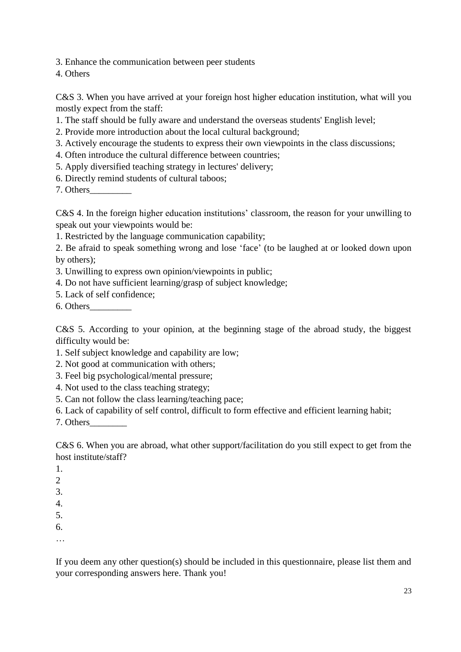3. Enhance the communication between peer students

4. Others

C&S 3. When you have arrived at your foreign host higher education institution, what will you mostly expect from the staff:

- 1. The staff should be fully aware and understand the overseas students' English level;
- 2. Provide more introduction about the local cultural background;
- 3. Actively encourage the students to express their own viewpoints in the class discussions;
- 4. Often introduce the cultural difference between countries;
- 5. Apply diversified teaching strategy in lectures' delivery;
- 6. Directly remind students of cultural taboos;
- 7. Others\_\_\_\_\_\_\_\_\_

C&S 4. In the foreign higher education institutions' classroom, the reason for your unwilling to speak out your viewpoints would be:

1. Restricted by the language communication capability;

2. Be afraid to speak something wrong and lose 'face' (to be laughed at or looked down upon by others);

- 3. Unwilling to express own opinion/viewpoints in public;
- 4. Do not have sufficient learning/grasp of subject knowledge;
- 5. Lack of self confidence;
- 6. Others\_\_\_\_\_\_\_\_\_

C&S 5. According to your opinion, at the beginning stage of the abroad study, the biggest difficulty would be:

1. Self subject knowledge and capability are low;

- 2. Not good at communication with others;
- 3. Feel big psychological/mental pressure;
- 4. Not used to the class teaching strategy;
- 5. Can not follow the class learning/teaching pace;
- 6. Lack of capability of self control, difficult to form effective and efficient learning habit;

7. Others\_\_\_\_\_\_\_\_

C&S 6. When you are abroad, what other support/facilitation do you still expect to get from the host institute/staff?

1.

 $\mathcal{D}_{\mathcal{L}}$ 

3.

- 4.
- 5.
- 6. …

If you deem any other question(s) should be included in this questionnaire, please list them and your corresponding answers here. Thank you!